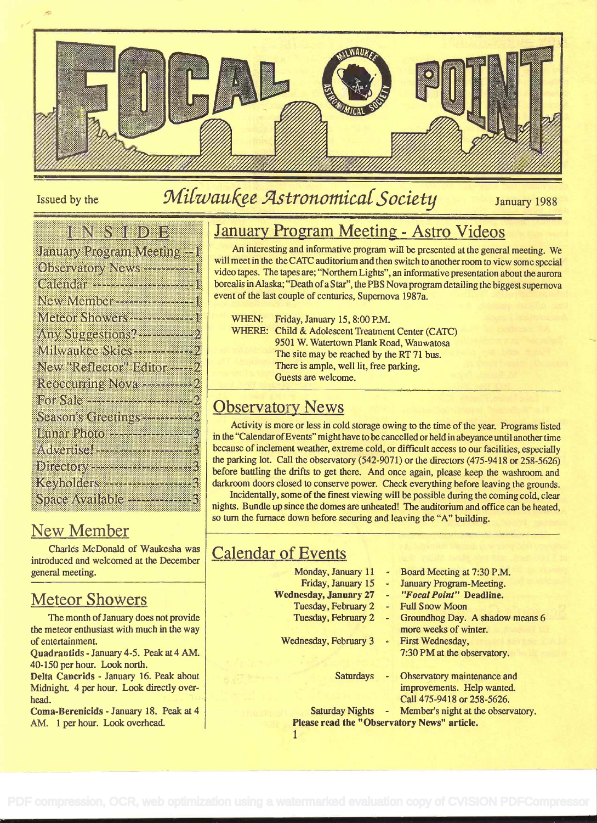

# Issued by the Milwaukee Astronomical Society January 1988

#### ienen biblio

| lanuary Program Meeting -                                                |
|--------------------------------------------------------------------------|
| Observatory News ---------                                               |
| Calendar -----------------------                                         |
| New Member ---------------                                               |
| Meteor Showers--------------                                             |
| Any Suggestions?----------<br>Milwaukee Skies------------                |
| New "Reflector" Editor -----                                             |
| Reoccurring Nova ------------                                            |
|                                                                          |
| Season's Greetings------------                                           |
| Lunar Photo --------------                                               |
|                                                                          |
|                                                                          |
| Keyholders <del>***************</del><br>Space Available --------------- |
|                                                                          |

# New Member

Charles McDonald of Waukesha was introduced and welcomed at the December general meeting.

#### Meteor Showers

The month of January does not provide the meteor enthusiast with much in the way of entertainment.

Quadrantids - January 4-5. Peak at 4 AM. 40-150 per hour. Look north.

Delta Cancrids - January 16. Peak about Midnight. 4 per hour. Look directly overhead.

Coma-Berenicids - January 18. Peak at 4 AM. 1 per hour. Look overhead.

# January Program Meeting - Astro Videos

An interesting and informative program will be presented at the general meeting. We will meet in the the CATC auditorium and then switch to another room to view some special video tapes. The tapes are; "Northern Lights", an informative presentation about the aurora borealis in Alaska; "Death of a Star", the PBS Nova program detailing the biggest supernova event of the last couple of centuries, Supernova 1987a.

| WHEN: | Friday, January 15, 8:00 P.M.                     |
|-------|---------------------------------------------------|
|       | WHERE: Child & Adolescent Treatment Center (CATC) |
|       | 9501 W. Watertown Plank Road, Wauwatosa           |
|       | The site may be reached by the RT 71 bus.         |
|       | There is ample, well lit, free parking.           |
|       | Guests are welcome.                               |

# Observatory News

Activity is more or less in cold storage owing to the time of the year. Programs listed in the "CalendarofEvents" might have to be cancelled orheld in abeyance until another time because of inclement weather, extreme cold, or difficult access to our facilities, especially the parking lot. Call the observatory  $(542-9071)$  or the directors  $(475-9418)$  or  $258-5626$ ) before battling the drifts to get there. And once again, please keep the washmom and darkroom doors closed to conserve power. Check everything before leaving the grounds.

Incidentally, some of the fmest viewing will be possible during the coming cold, clear nights. Bundle up since the domes are unheated! The auditorium and office can be heated, so turn the furnace down before securing and leaving the "A" building.

# Calendar of Events

- Monday, January 11
- Friday, January 15
- Wednesday, January 27
	- Tuesday, February 2
	- Tuesday, February 2

Wednesday, February 3

- Board Meeting at 7:30 P.M.
- January Program-Meeting.
- "Focal Point" Deadline.
- Full Snow Moon
- Groundhog Day. A shadow means 6 more weeks of winter.
- First Wednesday, 7:30 PM at the observatory.
- Saturdays Observatory maintenance and improvements. Help wanted. Call 475-9418 or 258-5626.

Saturday Nights - Member's night at the observatory. Please read the " Observatory News" article.

1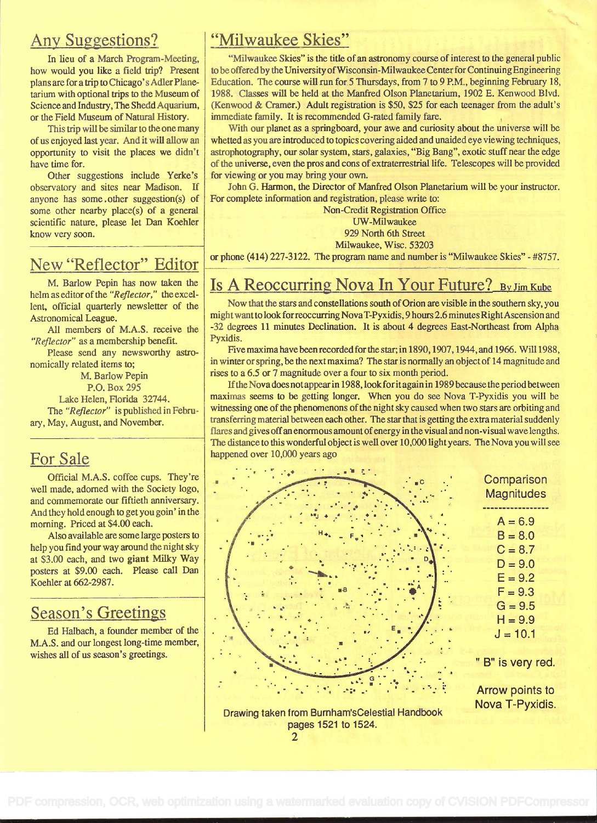#### **Any Suggestions?**

In lieu of a March Program-Meeting, how would you like a field trip? Present plans are for a trip to Chicago's Adler Planetarium with optional trips to the Museum of Science and Industry, The Shedd Aquarium, or the Field Museum of Natural History.

This trip will be similar to the one many of us enjoyed last year. And it will allow an opportunity to visit the places we didn't have time for.

Other suggestions include Yerke's observatory and Sites near Madison. If anyone has some . other suggestion(s) of some other nearby place(s) of a general scientific nature, please let Dan Koehier know very soon.

## New "Reflector" Editor

M. Barlow Pepin has now taken the helm as editor of the "Reflector," the excellent, official quarterly newsletter of the Astronomical League.

All members of M.A.S. receive the "Reflector" as a membership benefit.

Please send any newsworthy astronomically related items to;

M. Barlow Pepin P.O. Box 295 Lake Helen, Florida 32744. The "Reflector" is published in February, May, August, and November.

#### For Sale

Official M.A.S. coffee cups. They're well made, adorned with the Society logo, and commemorate our fiftieth anniversary. And they hold enough to get you goin' in the morning. Priced at \$4.00 each.

Also available are some large posters to help you find your way around the night sky at \$3.00 each, and two giant Milky Way posters at \$9.00 each. Please call Dan Koehier at 662-2987.

#### Season's Greetings

Ed Halbach, a founder member of the M.A.S. and our longest long-time member, wishes all of us season's greetings.

#### "Milwaukee Skies"

"Milwaukee Skies" is the title of an astronomy course of interest to the general public tobe offeredby the University ofWisconsin-Milwaukee Centerfor Continuing Engineering Education. The course will run for 5 Thursdays, from 7 to 9 P.M., beginning February 18, 1988. Classes will be held at the Manfred Olson Planetarium, 1902 E. Kenwood Blvd. (Kenwood & Cramer.) Adult registration is \$50, \$25 for each teenager from the adult's immediate family. It is recommended G-rated family fare.

With our planet as a springboard, your awe and curiosity about the universe will be whetted as you are introduced to topics covering aided and unaided eye viewing techniques, astrophotography, our solar system, stars, galaxies, "Big Bang", exotic stuff near the edge of the universe, even the pros and cons of extraterrestrial life. Telescopes will be provided for viewing or you may bring your own.

John G. Harmon, the Director of Manfred Olson Planetarium will be your instructor. For complete information and registration, please write to:

> Non-Credit Registration Office UW-Milwaukee 929 North 6th Street Milwaukee, Wisc. 53203

or phone (414) 227-3122. The program name and number is "Milwaukee Skies" - #8757.

# Is A Reoccurring Nova In Your Future? By Jim Kube

Now that the stars and constellations south of Orion are visible in the southern sky, you might want to look for reoccurring Nova T-Pyxidis, 9 hours 2.6 minutes Right Ascension and -32 degrees 11 minutes Declination. It is about 4 degrees East-Northeast from Alpha Pyxidis.

Five maxima have been recorded for the star; in 1890, 1907, 1944, and 1966. Will 1988, in winter or spring, be the next maxima? The star is normally an object of 14 magnitude and rises to a 6.5 or 7 magnitude over a four to six month period.

Ifthe Nova does notappear in 1988, lookforitagain in 1989 because the period between maximas seems to be getting longer. When you do see Nova T-Pyxidis you will be witnessing one of the phenomenons of the night sky caused when two stars are orbiting and transferring material between each other. The star that is getting the extra material suddenly flares and gives off an enormous amount of energy in the visual and non-visual wave lengths. The distance to this wonderful object is well over 10,000 light years. The Nova you will see happened over 10,000 years ago



Drawing taken from Burnham'sCelestial Handbook pages 1521 to 1524.